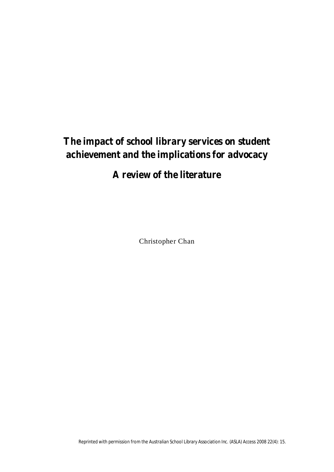# **The impact of school library services on student achievement and the implications for advocacy**

## **A review of the literature**

Christopher Chan

Reprinted with permission from the Australian School Library Association Inc. (ASLA) *Access* 2008 22(4): 15.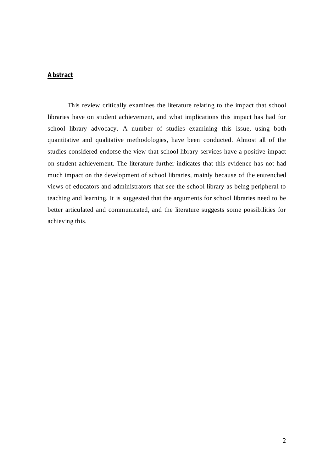## **Abstract**

This review critically examines the literature relating to the impact that school libraries have on student achievement, and what implications this impact has had for school library advocacy. A number of studies examining this issue, using both quantitative and qualitative methodologies, have been conducted. Almost all of the studies considered endorse the view that school library services have a positive impact on student achievement. The literature further indicates that this evidence has not had much impact on the development of school libraries, mainly because of the entrenched views of educators and administrators that see the school library as being peripheral to teaching and learning. It is suggested that the arguments for school libraries need to be better articulated and communicated, and the literature suggests some possibilities for achieving this.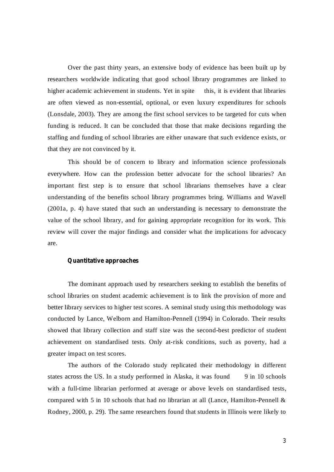Over the past thirty years, an extensive body of evidence has been built up by researchers worldwide indicating that good school library programmes are linked to higher academic achievement in students. Yet in spite this, it is evident that libraries are often viewed as non-essential, optional, or even luxury expenditures for schools (Lonsdale, 2003). They are among the first school services to be targeted for cuts when funding is reduced. It can be concluded that those that make decisions regarding the staffing and funding of school libraries are either unaware that such evidence exists, or that they are not convinced by it.

This should be of concern to library and information science professionals everywhere. How can the profession better advocate for the school libraries? An important first step is to ensure that school librarians themselves have a clear understanding of the benefits school library programmes bring. Williams and Wavell (2001a, p. 4) have stated that such an understanding is necessary to demonstrate the value of the school library, and for gaining appropriate recognition for its work. This review will cover the major findings and consider what the implications for advocacy are.

#### **Quantitative approaches**

The dominant approach used by researchers seeking to establish the benefits of school libraries on student academic achievement is to link the provision of more and better library services to higher test scores. A seminal study using this methodology was conducted by Lance, Welborn and Hamilton-Pennell (1994) in Colorado. Their results showed that library collection and staff size was the second-best predictor of student achievement on standardised tests. Only at-risk conditions, such as poverty, had a greater impact on test scores.

The authors of the Colorado study replicated their methodology in different states across the US. In a study performed in Alaska, it was found 9 in 10 schools with a full-time librarian performed at average or above levels on standardised tests, compared with 5 in 10 schools that had no librarian at all (Lance, Hamilton-Pennell & Rodney, 2000, p. 29). The same researchers found that students in Illinois were likely to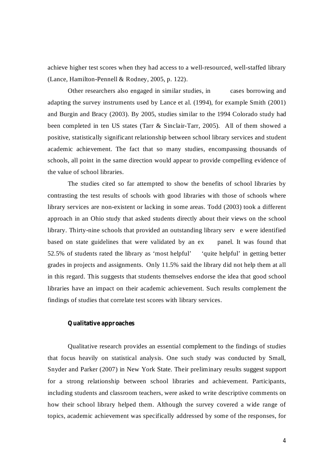achieve higher test scores when they had access to a well-resourced, well-staffed library (Lance, Hamilton-Pennell & Rodney, 2005, p. 122).

Other researchers also engaged in similar studies, in cases borrowing and adapting the survey instruments used by Lance et al. (1994), for example Smith (2001) and Burgin and Bracy (2003). By 2005, studies similar to the 1994 Colorado study had been completed in ten US states (Tarr & Sinclair-Tarr, 2005). All of them showed a positive, statistically significant relationship between school library services and student academic achievement. The fact that so many studies, encompassing thousands of schools, all point in the same direction would appear to provide compelling evidence of the value of school libraries.

The studies cited so far attempted to show the benefits of school libraries by contrasting the test results of schools with good libraries with those of schools where library services are non-existent or lacking in some areas. Todd (2003) took a different approach in an Ohio study that asked students directly about their views on the school library. Thirty-nine schools that provided an outstanding library serv e were identified based on state guidelines that were validated by an ex panel. It was found that 52.5% of students rated the library as 'most helpful' 'quite helpful' in getting better grades in projects and assignments. Only 11.5% said the library did not help them at all in this regard. This suggests that students themselves endorse the idea that good school libraries have an impact on their academic achievement. Such results complement the findings of studies that correlate test scores with library services.

## **Qualitative approaches**

Qualitative research provides an essential complement to the findings of studies that focus heavily on statistical analysis. One such study was conducted by Small, Snyder and Parker (2007) in New York State. Their preliminary results suggest support for a strong relationship between school libraries and achievement. Participants, including students and classroom teachers, were asked to write descriptive comments on how their school library helped them. Although the survey covered a wide range of topics, academic achievement was specifically addressed by some of the responses, for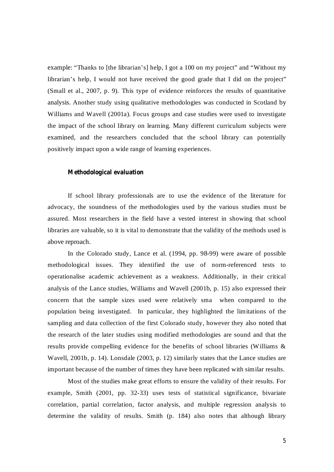example: "Thanks to [the librarian's] help, I got a 100 on my project" and "Without my librarian's help, I would not have received the good grade that I did on the project" (Small et al., 2007, p. 9). This type of evidence reinforces the results of quantitative analysis. Another study using qualitative methodologies was conducted in Scotland by Williams and Wavell (2001a). Focus groups and case studies were used to investigate the impact of the school library on learning. Many different curriculum subjects were examined, and the researchers concluded that the school library can potentially positively impact upon a wide range of learning experiences.

### **Methodological evaluation**

If school library professionals are to use the evidence of the literature for advocacy, the soundness of the methodologies used by the various studies must be assured. Most researchers in the field have a vested interest in showing that school libraries are valuable, so it is vital to demonstrate that the validity of the methods used is above reproach.

In the Colorado study, Lance et al. (1994, pp. 98-99) were aware of possible methodological issues. They identified the use of norm-referenced tests to operationalise academic achievement as a weakness. Additionally, in their critical analysis of the Lance studies, Williams and Wavell (2001b, p. 15) also expressed their concern that the sample sizes used were relatively sma when compared to the population being investigated. In particular, they highlighted the limitations of the sampling and data collection of the first Colorado study, however they also noted that the research of the later studies using modified methodologies are sound and that the results provide compelling evidence for the benefits of school libraries (Williams & Wavell, 2001b, p. 14). Lonsdale (2003, p. 12) similarly states that the Lance studies are important because of the number of times they have been replicated with similar results.

Most of the studies make great efforts to ensure the validity of their results. For example, Smith (2001, pp. 32-33) uses tests of statistical significance, bivariate correlation, partial correlation, factor analysis, and multiple regression analysis to determine the validity of results. Smith (p. 184) also notes that although library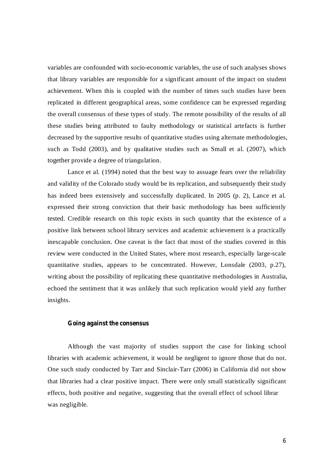variables are confounded with socio-economic variables, the use of such analyses shows that library variables are responsible for a significant amount of the impact on student achievement. When this is coupled with the number of times such studies have been replicated in different geographical areas, some confidence can be expressed regarding the overall consensus of these types of study. The remote possibility of the results of all these studies being attributed to faulty methodology or statistical artefacts is further decreased by the supportive results of quantitative studies using alternate methodologies, such as Todd (2003), and by qualitative studies such as Small et al. (2007), which together provide a degree of triangulation.

Lance et al. (1994) noted that the best way to assuage fears over the reliability and validity of the Colorado study would be its replication, and subsequently their study has indeed been extensively and successfully duplicated. In 2005 (p. 2), Lance et al. expressed their strong conviction that their basic methodology has been sufficiently tested. Credible research on this topic exists in such quantity that the existence of a positive link between school library services and academic achievement is a practically inescapable conclusion. One caveat is the fact that most of the studies covered in this review were conducted in the United States, where most research, especially large-scale quantitative studies, appears to be concentrated. However, Lonsdale (2003, p.27), writing about the possibility of replicating these quantitative methodologies in Australia, echoed the sentiment that it was unlikely that such replication would yield any further insights.

## **Going against the consensus**

Although the vast majority of studies support the case for linking school libraries with academic achievement, it would be negligent to ignore those that do not. One such study conducted by Tarr and Sinclair-Tarr (2006) in California did not show that libraries had a clear positive impact. There were only small statistically significant effects, both positive and negative, suggesting that the overall effect of school librar was negligible.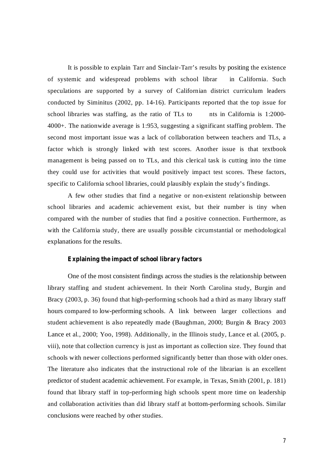It is possible to explain Tarr and Sinclair-Tarr's results by positing the existence of systemic and widespread problems with school librar in California. Such speculations are supported by a survey of Californian district curriculum leaders conducted by Siminitus (2002, pp. 14-16). Participants reported that the top issue for school libraries was staffing, as the ratio of TLs to nts in California is  $1:2000$ -4000+. The nationwide average is 1:953, suggesting a significant staffing problem. The second most important issue was a lack of collaboration between teachers and TLs, a factor which is strongly linked with test scores. Another issue is that textbook management is being passed on to TLs, and this clerical task is cutting into the time they could use for activities that would positively impact test scores. These factors, specific to California school libraries, could plausibly explain the study's findings.

A few other studies that find a negative or non-existent relationship between school libraries and academic achievement exist, but their number is tiny when compared with the number of studies that find a positive connection. Furthermore, as with the California study, there are usually possible circumstantial or methodological explanations for the results.

#### **Explaining the impact of school library factors**

One of the most consistent findings across the studies is the relationship between library staffing and student achievement. In their North Carolina study, Burgin and Bracy (2003, p. 36) found that high-performing schools had a third as many library staff hours compared to low-performing schools. A link between larger collections and student achievement is also repeatedly made (Baughman, 2000; Burgin & Bracy 2003 Lance et al., 2000; Yoo, 1998). Additionally, in the Illinois study, Lance et al. (2005, p. viii), note that collection currency is just as important as collection size. They found that schools with newer collections performed significantly better than those with older ones. The literature also indicates that the instructional role of the librarian is an excellent predictor of student academic achievement. For example, in Texas, Smith (2001, p. 181) found that library staff in top-performing high schools spent more time on leadership and collaboration activities than did library staff at bottom-performing schools. Similar conclusions were reached by other studies.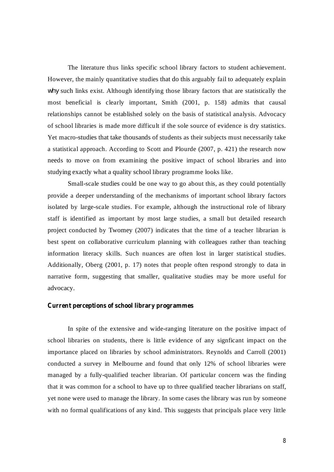The literature thus links specific school library factors to student achievement. However, the mainly quantitative studies that do this arguably fail to adequately explain why such links exist. Although identifying those library factors that are statistically the most beneficial is clearly important, Smith (2001, p. 158) admits that causal relationships cannot be established solely on the basis of statistical analysis. Advocacy of school libraries is made more difficult if the sole source of evidence is dry statistics. Yet macro-studies that take thousands of students as their subjects must necessarily take a statistical approach. According to Scott and Plourde (2007, p. 421) the research now needs to move on from examining the positive impact of school libraries and into studying exactly what a quality school library programme looks like.

Small-scale studies could be one way to go about this, as they could potentially provide a deeper understanding of the mechanisms of important school library factors isolated by large-scale studies. For example, although the instructional role of library staff is identified as important by most large studies, a small but detailed research project conducted by Twomey (2007) indicates that the time of a teacher librarian is best spent on collaborative curriculum planning with colleagues rather than teaching information literacy skills. Such nuances are often lost in larger statistical studies. Additionally, Oberg (2001, p. 17) notes that people often respond strongly to data in narrative form, suggesting that smaller, qualitative studies may be more useful for advocacy.

#### **Current perceptions of school library programmes**

In spite of the extensive and wide-ranging literature on the positive impact of school libraries on students, there is little evidence of any signficant impact on the importance placed on libraries by school administrators. Reynolds and Carroll (2001) conducted a survey in Melbourne and found that only 12% of school libraries were managed by a fully-qualified teacher librarian. Of particular concern was the finding that it was common for a school to have up to three qualified teacher librarians on staff, yet none were used to manage the library. In some cases the library was run by someone with no formal qualifications of any kind. This suggests that principals place very little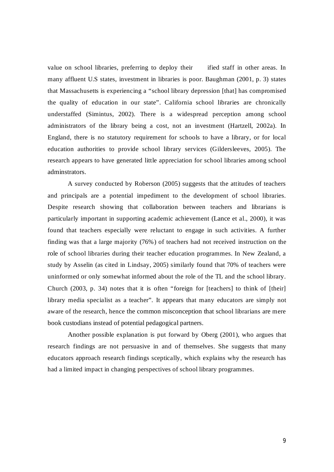value on school libraries, preferring to deploy their ified staff in other areas. In many affluent U.S states, investment in libraries is poor. Baughman (2001, p. 3) states that Massachusetts is experiencing a "school library depression [that] has compromised the quality of education in our state". California school libraries are chronically understaffed (Simintus, 2002). There is a widespread perception among school administrators of the library being a cost, not an investment (Hartzell, 2002a). In England, there is no statutory requirement for schools to have a library, or for local education authorities to provide school library services (Gildersleeves, 2005). The research appears to have generated little appreciation for school libraries among school adminstrators.

A survey conducted by Roberson (2005) suggests that the attitudes of teachers and principals are a potential impediment to the development of school libraries. Despite research showing that collaboration between teachers and librarians is particularly important in supporting academic achievement (Lance et al., 2000), it was found that teachers especially were reluctant to engage in such activities. A further finding was that a large majority (76%) of teachers had not received instruction on the role of school libraries during their teacher education programmes. In New Zealand, a study by Asselin (as cited in Lindsay, 2005) similarly found that 70% of teachers were uninformed or only somewhat informed about the role of the TL and the school library. Church (2003, p. 34) notes that it is often "foreign for [teachers] to think of [their] library media specialist as a teacher". It appears that many educators are simply not aware of the research, hence the common misconception that school librarians are mere book custodians instead of potential pedagogical partners.

Another possible explanation is put forward by Oberg (2001), who argues that research findings are not persuasive in and of themselves. She suggests that many educators approach research findings sceptically, which explains why the research has had a limited impact in changing perspectives of school library programmes.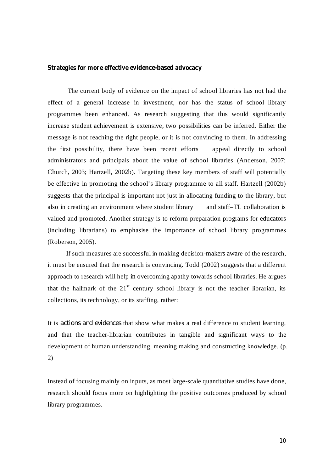#### **Strategies for more effective evidence-based advocacy**

The current body of evidence on the impact of school libraries has not had the effect of a general increase in investment, nor has the status of school library programmes been enhanced. As research suggesting that this would significantly increase student achievement is extensive, two possibilities can be inferred. Either the message is not reaching the right people, or it is not convincing to them. In addressing the first possibility, there have been recent efforts appeal directly to school administrators and principals about the value of school libraries (Anderson, 2007; Church, 2003; Hartzell, 2002b). Targeting these key members of staff will potentially be effective in promoting the school's library programme to all staff. Hartzell (2002b) suggests that the principal is important not just in allocating funding to the library, but also in creating an environment where student library and staff–TL collaboration is valued and promoted. Another strategy is to reform preparation programs for educators (including librarians) to emphasise the importance of school library programmes (Roberson, 2005).

If such measures are successful in making decision-makers aware of the research, it must be ensured that the research is convincing. Todd (2002) suggests that a different approach to research will help in overcoming apathy towards school libraries. He argues that the hallmark of the  $21<sup>st</sup>$  century school library is not the teacher librarian, its collections, its technology, or its staffing, rather:

It is *actions and evidences* that show what makes a real difference to student learning, and that the teacher-librarian contributes in tangible and significant ways to the development of human understanding, meaning making and constructing knowledge. (p. 2)

Instead of focusing mainly on inputs, as most large-scale quantitative studies have done, research should focus more on highlighting the positive outcomes produced by school library programmes.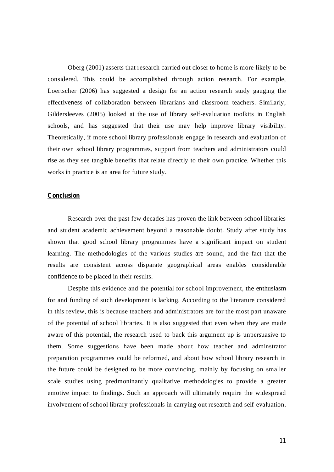Oberg (2001) asserts that research carried out closer to home is more likely to be considered. This could be accomplished through action research. For example, Loertscher (2006) has suggested a design for an action research study gauging the effectiveness of collaboration between librarians and classroom teachers. Similarly, Gildersleeves (2005) looked at the use of library self-evaluation toolkits in English schools, and has suggested that their use may help improve library visibility. Theoretically, if more school library professionals engage in research and evaluation of their own school library programmes, support from teachers and administrators could rise as they see tangible benefits that relate directly to their own practice. Whether this works in practice is an area for future study.

#### **Conclusion**

Research over the past few decades has proven the link between school libraries and student academic achievement beyond a reasonable doubt. Study after study has shown that good school library programmes have a significant impact on student learning. The methodologies of the various studies are sound, and the fact that the results are consistent across disparate geographical areas enables considerable confidence to be placed in their results.

Despite this evidence and the potential for school improvement, the enthusiasm for and funding of such development is lacking. According to the literature considered in this review, this is because teachers and administrators are for the most part unaware of the potential of school libraries. It is also suggested that even when they are made aware of this potential, the research used to back this argument up is unpersuasive to them. Some suggestions have been made about how teacher and adminstrator preparation programmes could be reformed, and about how school library research in the future could be designed to be more convincing, mainly by focusing on smaller scale studies using predmoninantly qualitative methodologies to provide a greater emotive impact to findings. Such an approach will ultimately require the widespread involvement of school library professionals in carrying out research and self-evaluation.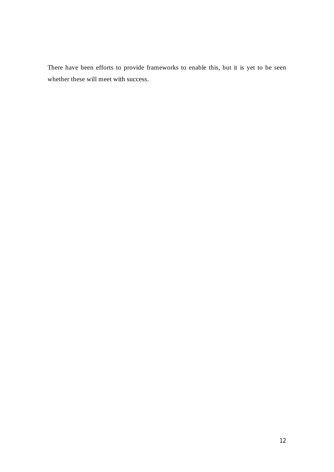There have been efforts to provide frameworks to enable this, but it is yet to be seen whether these will meet with success.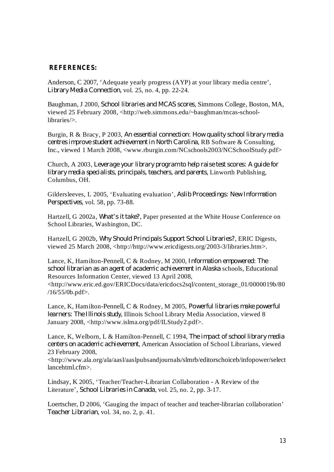## **REFERENCES:**

Anderson, C 2007, 'Adequate yearly progress (AYP) at your library media centre', Library Media Connection, vol. 25, no. 4, pp. 22-24.

Baughman, J 2000, School libraries and MCAS scores, Simmons College, Boston, MA, viewed 25 February 2008, <http://web.simmons.edu/~baughman/mcas-schoollibraries/>.

Burgin, R & Bracy, P 2003, *An essential connection: How quality school library media centres improve student achievement in North Carolina, RB Software & Consulting,* Inc., viewed 1 March 2008, <www.rburgin.com/NCschools2003/NCSchoolStudy.pdf>

Church, A 2003, *Leverage your library program to help raise test scores: A guide for* , Linworth Publishing, *library media specialists, principals, teachers, and parents* Columbus, OH.

Gildersleeves, L 2005, 'Evaluating evaluation', *Aslib Proceedings: New Information* , vol. 58, pp. 73-88. *Perspectives*

Hartzell, G 2002a, *What's it take?*, Paper presented at the White House Conference on School Libraries, Washington, DC.

Hartzell, G 2002b, Why Should Principals Support School Libraries?, ERIC Digests, viewed 25 March 2008, <http://http://www.ericdigests.org/2003-3/libraries.htm>.

Lance, K, Hamilton-Pennell, C & Rodney, M 2000, *Information empowered: The school librarian as an agent of academic achievement in Alaska schools, Educational* Resources Information Center, viewed 13 April 2008, <http://www.eric.ed.gov/ERICDocs/data/ericdocs2sql/content\_storage\_01/0000019b/80 /16/55/0b.pdf>.

Lance, K, Hamilton-Pennell, C & Rodney, M 2005, *Powerful libraries make powerful* learners: The Illinois study, Illinois School Library Media Association, viewed 8 January 2008, <http://www.islma.org/pdf/ILStudy2.pdf>.

Lance, K, Welborn, L & Hamilton-Pennell, C 1994, *The impact of school library media* centers on academic achievement, American Association of School Librarians, viewed 23 February 2008,

<http://www.ala.org/ala/aasl/aaslpubsandjournals/slmrb/editorschoiceb/infopower/select lancehtml.cfm>.

Lindsay, K 2005, 'Teacher/Teacher-Librarian Collaboration - A Review of the Literature', *School Libraries* in *Canada*, vol. 25, no. 2, pp. 3-17.

Loertscher, D 2006, 'Gauging the impact of teacher and teacher-librarian collaboration' , vol. 34, no. 2, p. 41. *Teacher Librarian*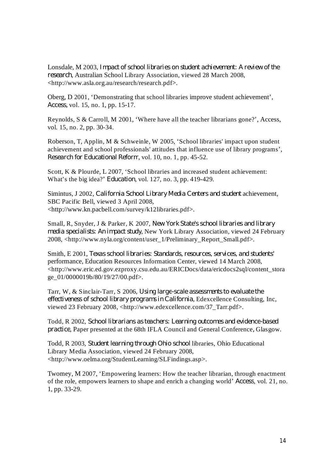Lonsdale, M 2003, *Impact of school libraries on student achievement: A review of the* , Australian School Library Association, viewed 28 March 2008, *research* <http://www.asla.org.au/research/research.pdf>.

Oberg, D 2001, 'Demonstrating that school libraries improve student achievement', vol. 15, no. 1, pp. 15-17. *Access,*

Reynolds, S & Carroll, M 2001, 'Where have all the teacher librarians gone?', Access, vol. 15, no. 2, pp. 30-34.

Roberson, T, Applin, M & Schweinle, W 2005, 'School libraries' impact upon student achievement and school professionals' attitudes that influence use of library programs', *Research for Educational Reform, vol.* 10, no. 1, pp. 45-52.

Scott, K & Plourde, L 2007, 'School libraries and increased student achievement: What's the big idea?' *Education*, vol. 127, no. 3, pp. 419-429.

Simintus, J 2002, California School Library Media Centers and student achievement, SBC Pacific Bell, viewed 3 April 2008, <http://www.kn.pacbell.com/survey/k12libraries.pdf>.

Small, R, Snyder, J & Parker, K 2007, *New York State's school libraries and library media specialists: An impact study*, New York Library Association, viewed 24 February 2008, <http://www.nyla.org/content/user\_1/Preliminary\_Report\_Small.pdf>.

Smith, E 2001, *Texas school libraries: Standards, resources, services, and students'* performance, Education Resources Information Center, viewed 14 March 2008, <http://www.eric.ed.gov.ezproxy.csu.edu.au/ERICDocs/data/ericdocs2sql/content\_stora ge\_01/0000019b/80/19/27/00.pdf>.

Tarr, W, & Sinclair-Tarr, S 2006, *Using large-scale assessments to evaluate the* , Edexcellence Consulting, Inc, *effectiveness of school library programs in California* viewed 23 February 2008, <http://www.edexcellence.com/37\_Tarr.pdf>.

Todd, R 2002, *School librarians as teachers: Learning outcomes and evidence-based practice*, Paper presented at the 68th IFLA Council and General Conference, Glasgow.

Todd, R 2003, Student learning through Ohio school libraries, Ohio Educational Library Media Association, viewed 24 February 2008, <http://www.oelma.org/StudentLearning/SLFindings.asp>.

Twomey, M 2007, 'Empowering learners: How the teacher librarian, through enactment of the role, empowers learners to shape and enrich a changing world' *Access*, vol. 21, no. 1, pp. 33-29.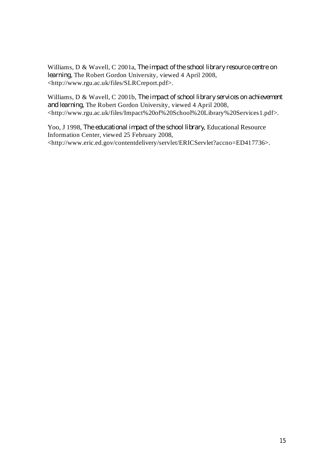Williams, D & Wavell, C 2001a, *The impact of the school library resource centre on* learning, The Robert Gordon University, viewed 4 April 2008, <http://www.rgu.ac.uk/files/SLRCreport.pdf>.

Williams, D & Wavell, C 2001b, *The impact of school library services on achievement* and learning, The Robert Gordon University, viewed 4 April 2008, <http://www.rgu.ac.uk/files/Impact%20of%20School%20Library%20Services1.pdf>.

Yoo, J 1998, The educational impact of the school library, Educational Resource Information Center, viewed 25 February 2008, <http://www.eric.ed.gov/contentdelivery/servlet/ERICServlet?accno=ED417736>.